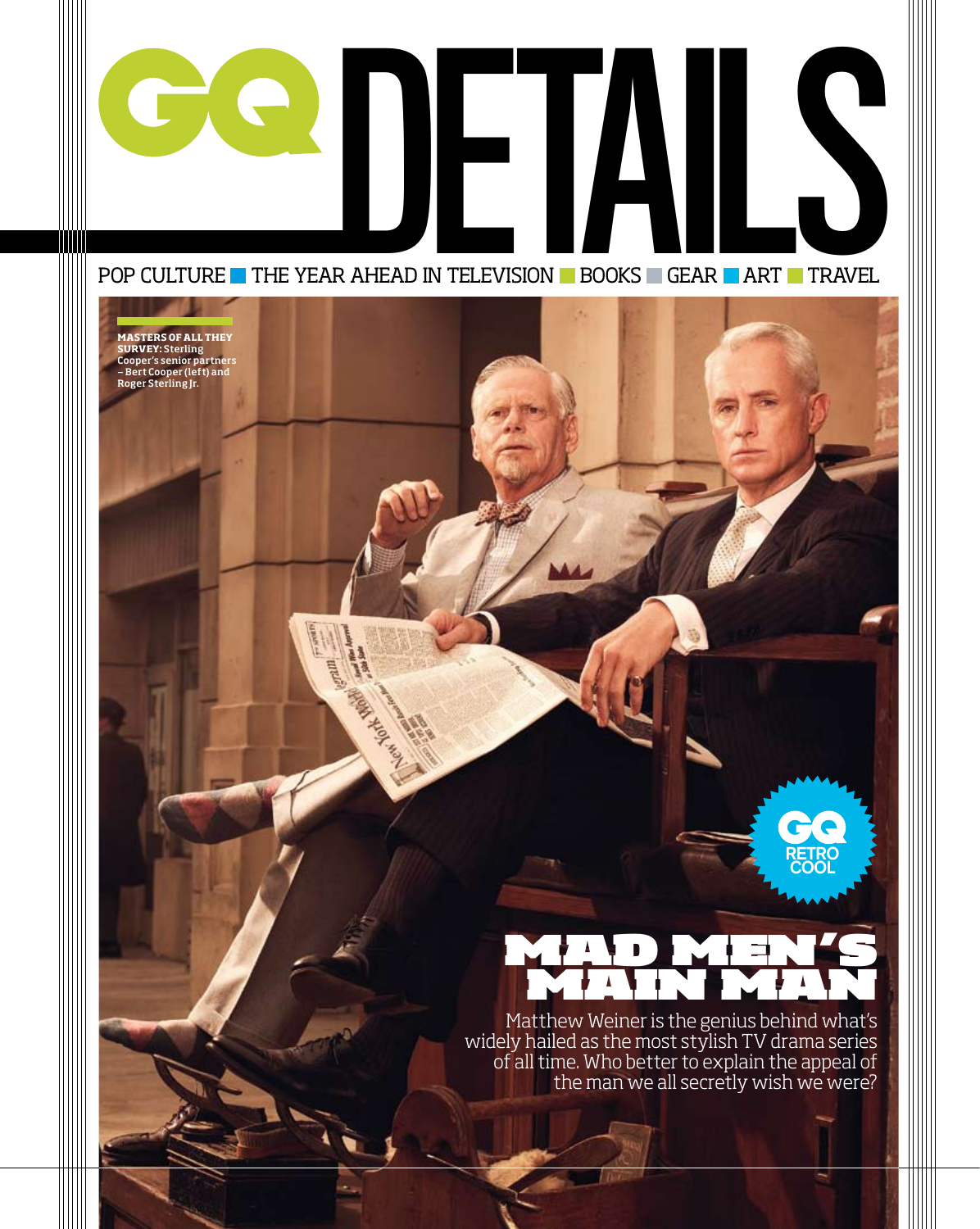

GRAND AND

**BODETALS** 

**Masters of all they SURVEY:** Sterling<br>Cooper's senior partners — Bert Cooper (left) and Roger Sterling Jr.

## MAD men's main man

**RETRO COOL**

Matthew Weiner is the genius behind what's widely hailed as the most stylish TV drama series of all time. Who better to explain the appeal of the man we all secretly wish we were?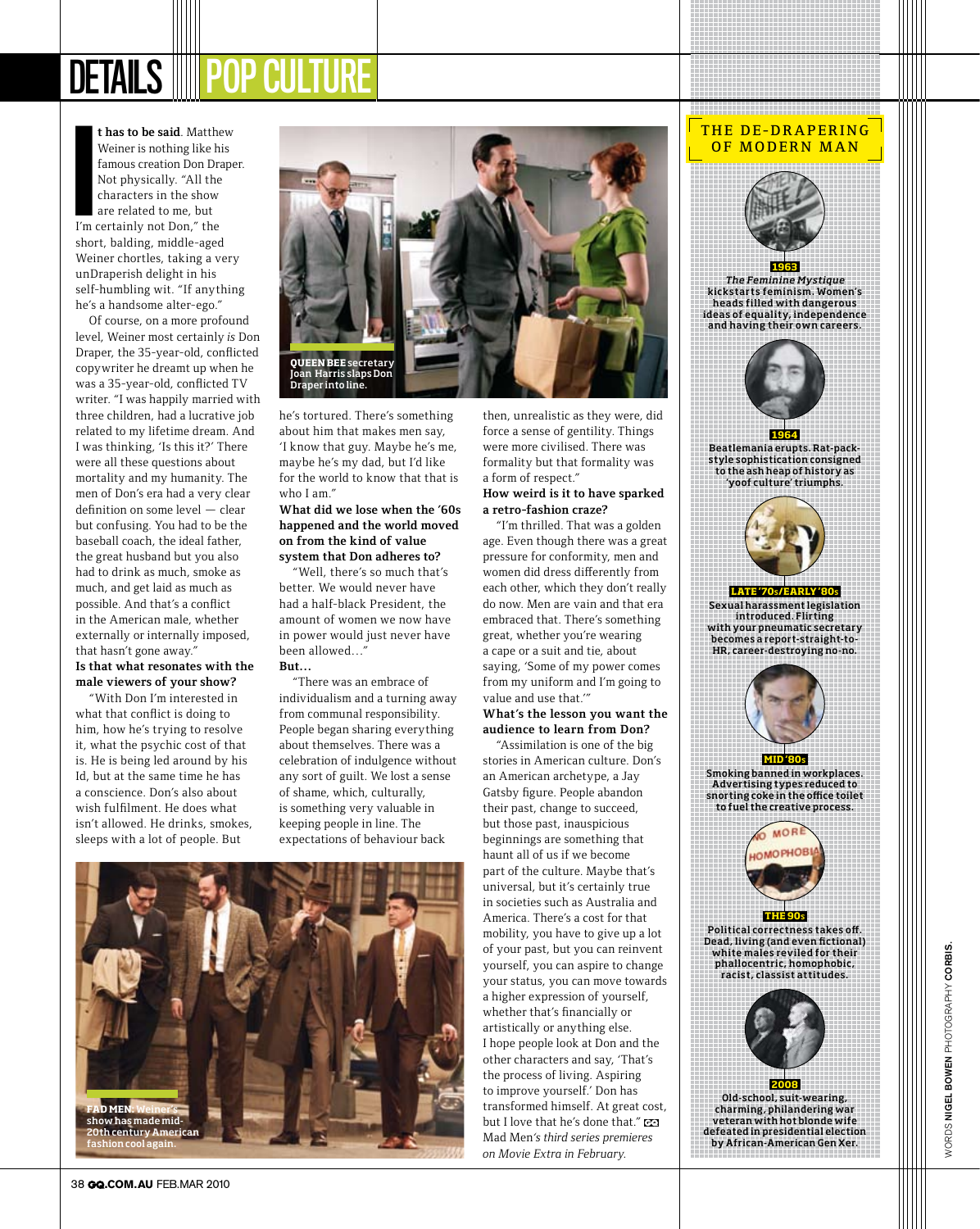# DETAILS **III**

**t has to be said**. Matthew Weiner is nothing like his famous creation Don Draper. Not physically. "All the characters in the show are related to me, but I'm certainly not Don," the short, balding, middle-aged Weiner chortles, taking a very unDraperish delight in his self-humbling wit. "If anything he's a handsome alter-ego." **I**

Of course, on a more profound level, Weiner most certainly *is* Don Draper, the 35-year-old, conflicted copywriter he dreamt up when he was a 35-year-old, conflicted TV writer. "I was happily married with three children, had a lucrative job related to my lifetime dream. And I was thinking, 'Is this it?' There were all these questions about mortality and my humanity. The men of Don's era had a very clear definition on some level — clear but confusing. You had to be the baseball coach, the ideal father, the great husband but you also had to drink as much, smoke as much, and get laid as much as possible. And that's a conflict in the American male, whether externally or internally imposed, that hasn't gone away." **Is that what resonates with the male viewers of your show?**

"With Don I'm interested in what that conflict is doing to him, how he's trying to resolve it, what the psychic cost of that is. He is being led around by his Id, but at the same time he has a conscience. Don's also about wish fulfilment. He does what isn't allowed. He drinks, smokes, sleeps with a lot of people. But



he's tortured. There's something about him that makes men say, 'I know that guy. Maybe he's me, maybe he's my dad, but I'd like for the world to know that that is who I am."

#### **What did we lose when the '60s happened and the world moved on from the kind of value system that Don adheres to?**

"Well, there's so much that's better. We would never have had a half-black President, the amount of women we now have in power would just never have been allowed…" **But…**

"There was an embrace of individualism and a turning away from communal responsibility. People began sharing everything about themselves. There was a celebration of indulgence without any sort of guilt. We lost a sense of shame, which, culturally, is something very valuable in keeping people in line. The expectations of behaviour back



then, unrealistic as they were, did force a sense of gentility. Things were more civilised. There was formality but that formality was a form of respect." **How weird is it to have sparked** 

### **a retro-fashion craze?**

"I'm thrilled. That was a golden age. Even though there was a great pressure for conformity, men and women did dress differently from each other, which they don't really do now. Men are vain and that era embraced that. There's something great, whether you're wearing a cape or a suit and tie, about saying, 'Some of my power comes from my uniform and I'm going to value and use that.'" **What's the lesson you want the** 

**audience to learn from Don?**

"Assimilation is one of the big stories in American culture. Don's an American archetype, a Jay Gatsby figure. People abandon their past, change to succeed, but those past, inauspicious beginnings are something that haunt all of us if we become part of the culture. Maybe that's universal, but it's certainly true in societies such as Australia and America. There's a cost for that mobility, you have to give up a lot of your past, but you can reinvent yourself, you can aspire to change your status, you can move towards a higher expression of yourself, whether that's financially or artistically or anything else. I hope people look at Don and the other characters and say, 'That's the process of living. Aspiring to improve yourself.' Don has transformed himself. At great cost, but I love that he's done that." EQ Mad Men*'s third series premieres on Movie Extra in February.*

#### THE DE-DRAPERING OF MODERN MAN